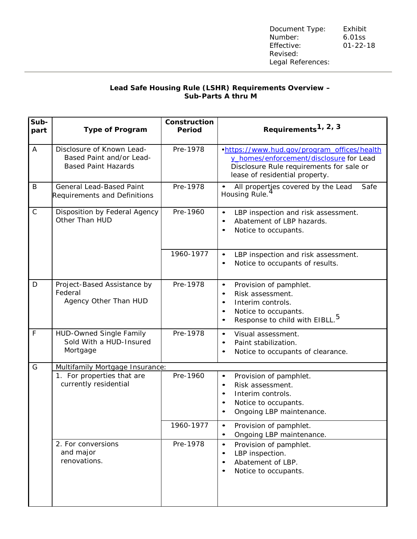## **Lead Safe Housing Rule (LSHR) Requirements Overview – Sub-Parts A thru M**

| Sub-<br>part | <b>Type of Program</b>                                                              | Construction<br>Period | Requirements <sup>1, 2, 3</sup>                                                                                                                                                                        |
|--------------|-------------------------------------------------------------------------------------|------------------------|--------------------------------------------------------------------------------------------------------------------------------------------------------------------------------------------------------|
| A            | Disclosure of Known Lead-<br>Based Paint and/or Lead-<br><b>Based Paint Hazards</b> | Pre-1978               | .https://www.hud.gov/program_offices/health<br>y_homes/enforcement/disclosure for Lead<br>Disclosure Rule requirements for sale or<br>lease of residential property.                                   |
| B            | <b>General Lead-Based Paint</b><br><b>Requirements and Definitions</b>              | Pre-1978               | Safe<br>All propertjes covered by the Lead<br>Housing Rule.                                                                                                                                            |
| $\mathsf{C}$ | Disposition by Federal Agency<br>Other Than HUD                                     | Pre-1960               | LBP inspection and risk assessment.<br>$\bullet$<br>Abatement of LBP hazards.<br>$\bullet$<br>Notice to occupants.<br>$\bullet$                                                                        |
|              |                                                                                     | 1960-1977              | LBP inspection and risk assessment.<br>$\bullet$<br>Notice to occupants of results.<br>$\bullet$                                                                                                       |
| D            | Project-Based Assistance by<br>Federal<br>Agency Other Than HUD                     | Pre-1978               | Provision of pamphlet.<br>$\bullet$<br>Risk assessment.<br>$\bullet$<br>Interim controls.<br>$\bullet$<br>Notice to occupants.<br>$\bullet$<br>Response to child with EIBLL. <sup>5</sup><br>$\bullet$ |
| $\mathsf F$  | <b>HUD-Owned Single Family</b><br>Sold With a HUD-Insured<br>Mortgage               | Pre-1978               | Visual assessment.<br>$\bullet$<br>Paint stabilization.<br>$\bullet$<br>Notice to occupants of clearance.<br>$\bullet$                                                                                 |
| G            | Multifamily Mortgage Insurance:                                                     |                        |                                                                                                                                                                                                        |
|              | 1. For properties that are<br>currently residential                                 | Pre-1960               | Provision of pamphlet.<br>$\bullet$<br>Risk assessment.<br>$\bullet$<br>Interim controls.<br>$\bullet$<br>Notice to occupants.<br>$\bullet$<br>Ongoing LBP maintenance.                                |
|              |                                                                                     | 1960-1977              | Provision of pamphlet.<br>$\bullet$<br>Ongoing LBP maintenance.<br>$\bullet$                                                                                                                           |
|              | 2. For conversions<br>and major<br>renovations.                                     | Pre-1978               | Provision of pamphlet.<br>$\bullet$<br>LBP inspection.<br>$\bullet$<br>Abatement of LBP.<br>$\bullet$<br>Notice to occupants.<br>$\bullet$                                                             |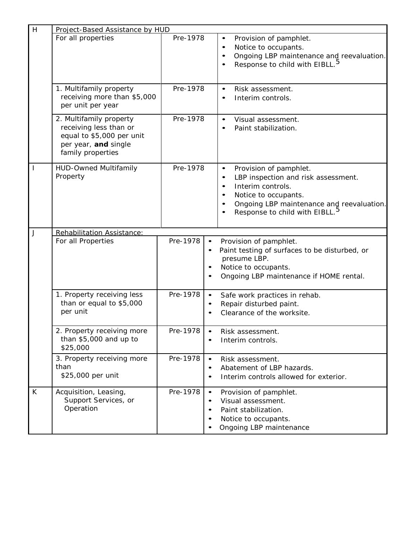| H | Project-Based Assistance by HUD                                                                                             |          |                                                                                                                                                                                                                                                                        |  |  |
|---|-----------------------------------------------------------------------------------------------------------------------------|----------|------------------------------------------------------------------------------------------------------------------------------------------------------------------------------------------------------------------------------------------------------------------------|--|--|
|   | For all properties                                                                                                          | Pre-1978 | Provision of pamphlet.<br>$\bullet$<br>Notice to occupants.<br>$\bullet$<br>Ongoing LBP maintenance and reevaluation.<br>$\bullet$<br>Response to child with EIBLL. <sup>5</sup><br>$\bullet$                                                                          |  |  |
|   | 1. Multifamily property<br>receiving more than \$5,000<br>per unit per year                                                 | Pre-1978 | Risk assessment.<br>$\bullet$<br>Interim controls.<br>$\bullet$                                                                                                                                                                                                        |  |  |
|   | 2. Multifamily property<br>receiving less than or<br>equal to \$5,000 per unit<br>per year, and single<br>family properties | Pre-1978 | Visual assessment.<br>$\bullet$<br>Paint stabilization.<br>$\bullet$                                                                                                                                                                                                   |  |  |
|   | <b>HUD-Owned Multifamily</b><br>Property                                                                                    | Pre-1978 | Provision of pamphlet.<br>$\bullet$<br>LBP inspection and risk assessment.<br>$\bullet$<br>Interim controls.<br>$\bullet$<br>Notice to occupants.<br>$\bullet$<br>Ongoing LBP maintenance and reevaluation.<br>$\bullet$<br>Response to child with EIBLL. <sup>5</sup> |  |  |
| J | Rehabilitation Assistance:                                                                                                  |          |                                                                                                                                                                                                                                                                        |  |  |
|   | For all Properties                                                                                                          | Pre-1978 | Provision of pamphlet.<br>Paint testing of surfaces to be disturbed, or<br>presume LBP.<br>Notice to occupants.<br>Ongoing LBP maintenance if HOME rental.                                                                                                             |  |  |
|   | 1. Property receiving less<br>than or equal to \$5,000<br>per unit                                                          | Pre-1978 | Safe work practices in rehab.<br>$\bullet$<br>Repair disturbed paint.<br>Clearance of the worksite.                                                                                                                                                                    |  |  |
|   | 2. Property receiving more<br>than \$5,000 and up to<br>\$25,000                                                            | Pre-1978 | Risk assessment.<br>Interim controls.                                                                                                                                                                                                                                  |  |  |
|   | 3. Property receiving more<br>than<br>\$25,000 per unit                                                                     | Pre-1978 | Risk assessment.<br>$\bullet$<br>Abatement of LBP hazards.<br>Interim controls allowed for exterior.                                                                                                                                                                   |  |  |
| K | Acquisition, Leasing,<br>Support Services, or<br>Operation                                                                  | Pre-1978 | Provision of pamphlet.<br>$\bullet$<br>Visual assessment.<br>Paint stabilization.<br>Notice to occupants.<br>Ongoing LBP maintenance                                                                                                                                   |  |  |